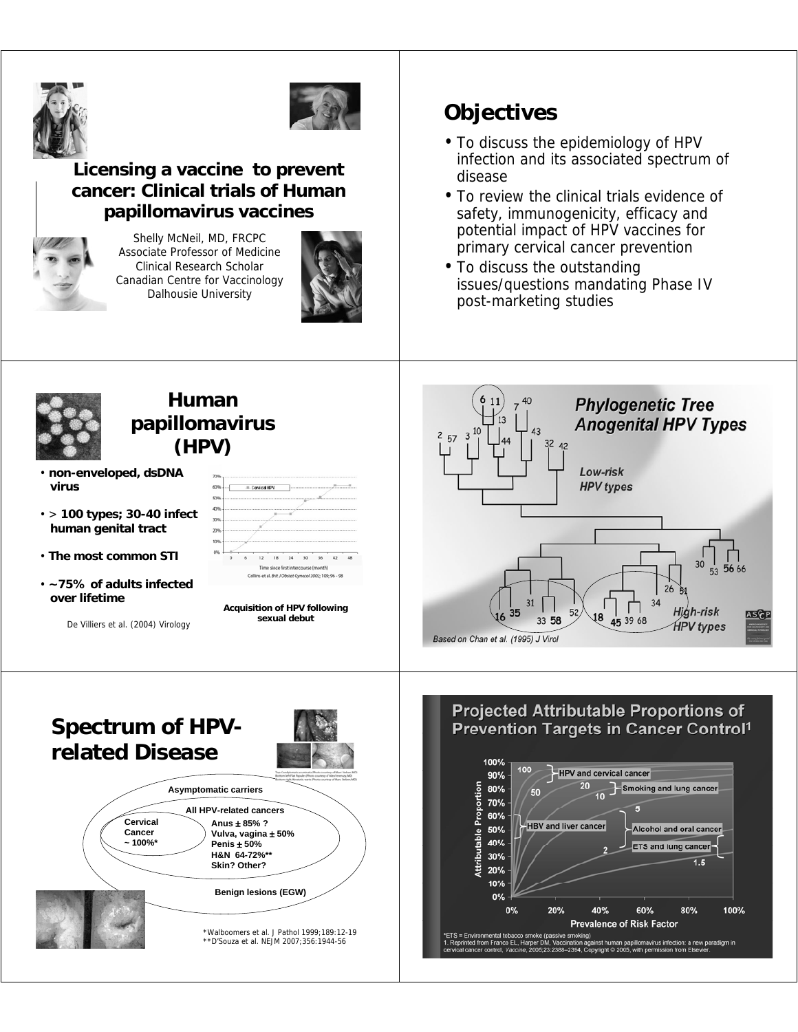



### **Licensing a vaccine to prevent cancer: Clinical trials of Human papillomavirus vaccines**



Shelly McNeil, MD, FRCPC Associate Professor of Medicine Clinical Research Scholar Canadian Centre for Vaccinology Dalhousie University



# **Objectives**

- To discuss the epidemiology of HPV infection and its associated spectrum of disease
- To review the clinical trials evidence of safety, immunogenicity, efficacy and potential impact of HPV vaccines for primary cervical cancer prevention
- To discuss the outstanding issues/questions mandating Phase IV post-marketing studies

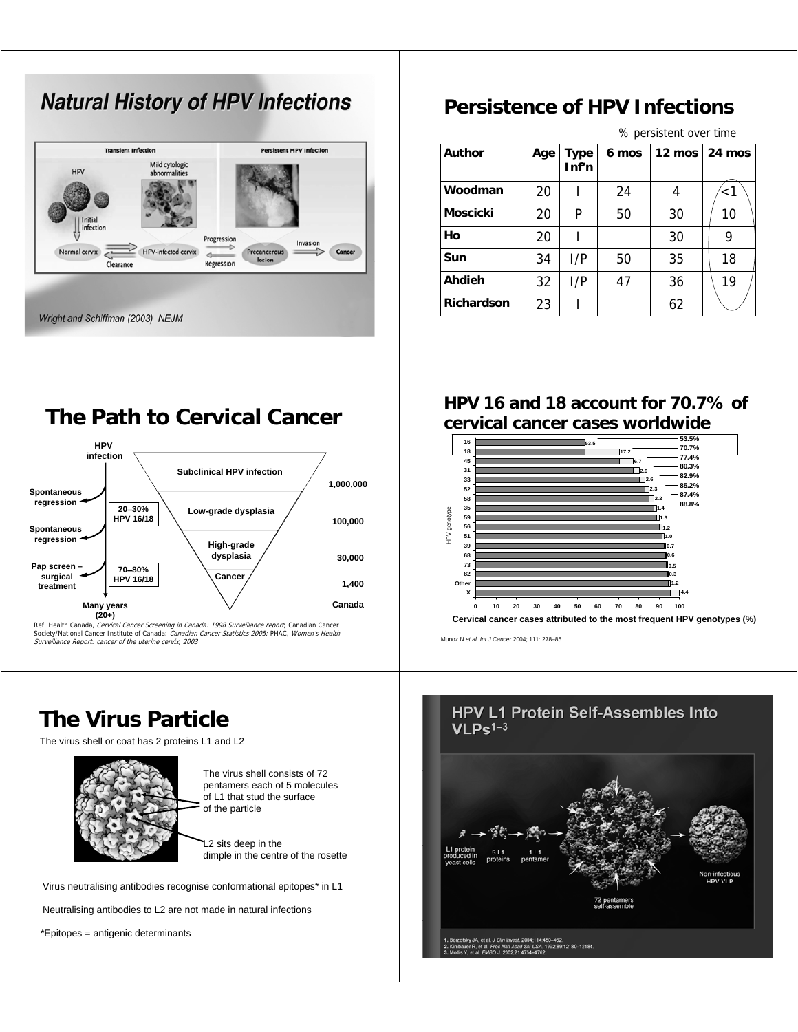# **Natural History of HPV Infections**



### **Persistence of HPV Infections**

% persistent over time

| <b>Author</b>     | Age | Type<br>Inf'n | 6 mos |    | 12 mos $\vert$ 24 mos |
|-------------------|-----|---------------|-------|----|-----------------------|
| Woodman           | 20  |               | 24    | 4  | ั<1                   |
| <b>Moscicki</b>   | 20  | P             | 50    | 30 | 10                    |
| Ho                | 20  |               |       | 30 | 9                     |
| Sun               | 34  | I/P           | 50    | 35 | 18                    |
| Ahdieh            | 32  | I/P           | 47    | 36 | 19                    |
| <b>Richardson</b> | 23  |               |       | 62 |                       |

### **The Path to Cervical Cancer**



Ref: Health Canada, *Cervical Cancer Screening in Canada: 1998 Surveillance report*; Canadian Cancer<br>Society/National Cancer Institute of Canada: *Canadian Cancer Statistics 2005;* PHAC, *Women's Health* Surveillance Report: cancer of the uterine cervix, 2003

## **The Virus Particle**

The virus shell or coat has 2 proteins L1 and L2



The virus shell consists of 72 pentamers each of 5 molecules of L1 that stud the surface of the particle

L<sub>2</sub> sits deep in the dimple in the centre of the rosette

Virus neutralising antibodies recognise conformational epitopes\* in L1

Neutralising antibodies to L2 are not made in natural infections

\*Epitopes = antigenic determinants

### **HPV 16 and 18 account for 70.7% of cervical cancer cases worldwide**



Munoz N *et al*. *Int J Cancer* 2004; 111: 278–85.

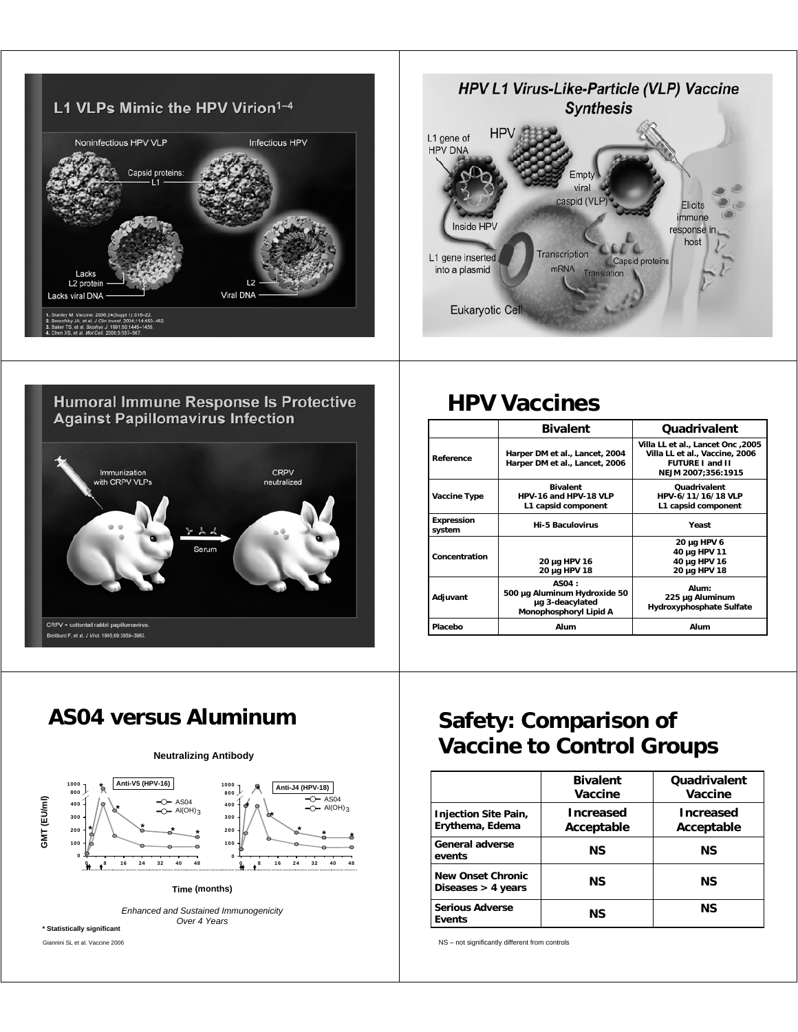





# **HPV Vaccines**

|                             | <b>Bivalent</b>                                                                    | Quadrivalent                                                                                                        |
|-----------------------------|------------------------------------------------------------------------------------|---------------------------------------------------------------------------------------------------------------------|
| Reference                   | Harper DM et al., Lancet, 2004<br>Harper DM et al., Lancet, 2006                   | 2005, Villa LL et al., Lancet Onc<br>Villa LL et al., Vaccine, 2006<br><b>FUTURE I and II</b><br>NEJM 2007;356:1915 |
| Vaccine Type                | <b>Bivalent</b><br>HPV-16 and HPV-18 VLP<br>L1 capsid component                    | Quadrivalent<br>HPV-6/11/16/18 VLP<br>L1 capsid component                                                           |
| <b>Expression</b><br>system | <b>Hi-5 Baculovirus</b>                                                            | Yeast                                                                                                               |
| Concentration               | 20 µg HPV 16<br>20 µg HPV 18                                                       | 20 µg HPV 6<br>40 µg HPV 11<br>40 µg HPV 16<br>20 µg HPV 18                                                         |
| Adjuvant                    | AS04:<br>500 µg Aluminum Hydroxide 50<br>µg 3-deacylated<br>Monophosphoryl Lipid A | Alum:<br>225 µg Aluminum<br>Hydroxyphosphate Sulfate                                                                |
| Placebo                     | Alum                                                                               | Alum                                                                                                                |



*Enhanced and Sustained Immunogenicity Over 4 Years*

Giannini SL et al. Vaccine 2006

# AS04 versus Aluminum **Safety: Comparison of Vaccine to Control Groups**

|                                                  | <b>Bivalent</b><br>Vaccine | <b>Ouadrivalent</b><br>Vaccine |  |
|--------------------------------------------------|----------------------------|--------------------------------|--|
| Injection Site Pain,<br>Erythema, Edema          | Increased<br>Acceptable    | Increased<br>Acceptable        |  |
| General adverse<br>events                        | ΝS                         |                                |  |
| <b>New Onset Chronic</b><br>Diseases $>$ 4 years | ΝS                         | <b>NS</b>                      |  |
| <b>Serious Adverse</b><br><b>Events</b>          | ΝS                         | <b>NS</b>                      |  |

NS – not significantly different from controls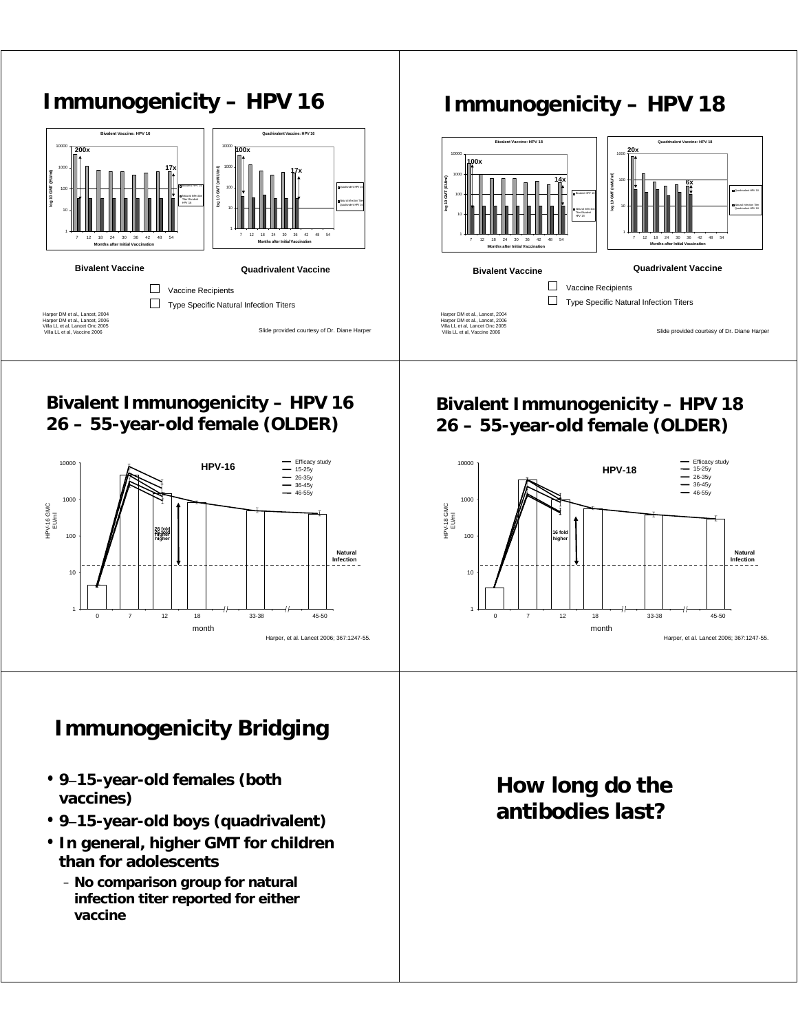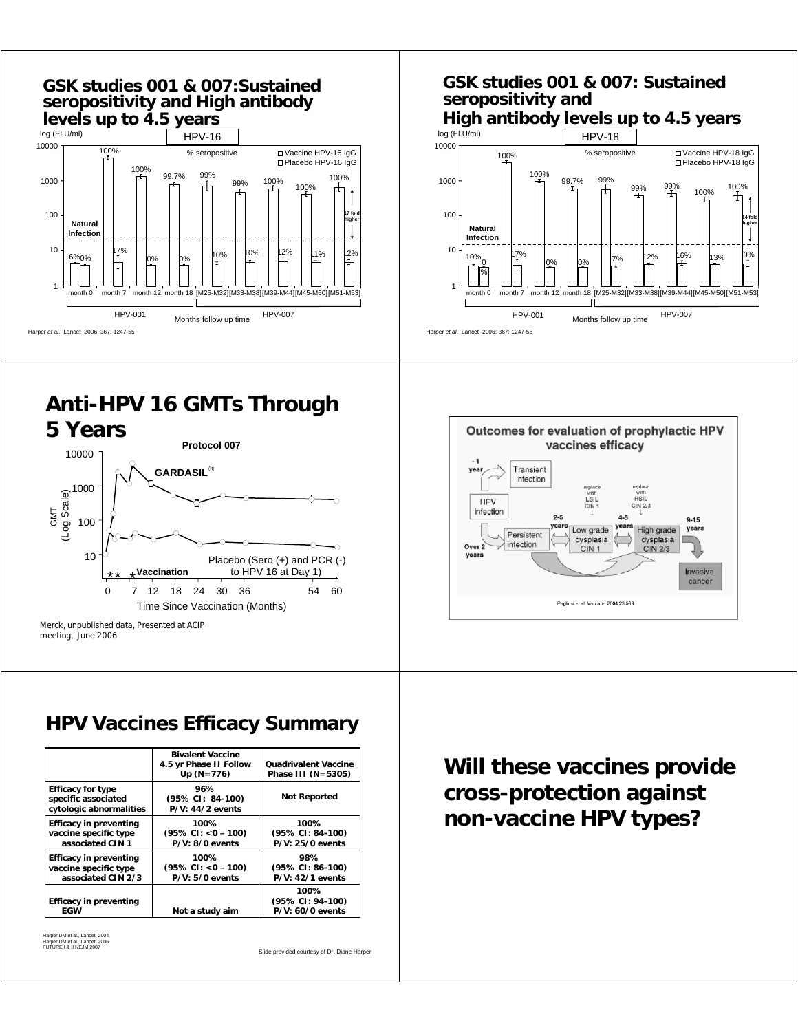

# **Anti-HPV 16 GMTs Through**





### **HPV Vaccines Efficacy Summary**

|                                                                            | <b>Bivalent Vaccine</b><br>4.5 yr Phase II Follow<br>$Up(N=776)$ | <b>Quadrivalent Vaccine</b><br>Phase III (N=5305) |
|----------------------------------------------------------------------------|------------------------------------------------------------------|---------------------------------------------------|
| <b>Efficacy for type</b><br>specific associated<br>cytologic abnormalities | 96%<br>$(95\% \text{ CI}: 84-100)$<br>$P/V: 44/2$ events         | <b>Not Reported</b>                               |
| Efficacy in preventing<br>vaccine specific type<br>associated CIN 1        | 100%<br>$(95\% \text{ CI: } <0-100)$<br>$P/V: 8/0$ events        | 100%<br>(95% CI: 84-100)<br>P/V: 25/0 events      |
| Efficacy in preventing<br>vaccine specific type<br>associated CIN 2/3      | 100%<br>$(95\% \text{ CI: } <0-100)$<br>$P/V: 5/0$ events        | 98%<br>$(95\% CI: 86-100)$<br>$P/V: 42/1$ events  |
| <b>Efficacy in preventing</b><br>EGW                                       | Not a study aim                                                  | 100%<br>(95% CI: 94-100)<br>$P/V: 60/0$ events    |

Harper DM et al., Lancet, 2004 Harper DM et al., Lancet, 2006 FUTURE I & II NEJM 2007

Slide provided courtesy of Dr. Diane Harper

**Will these vaccines provide cross-protection against non-vaccine HPV types?**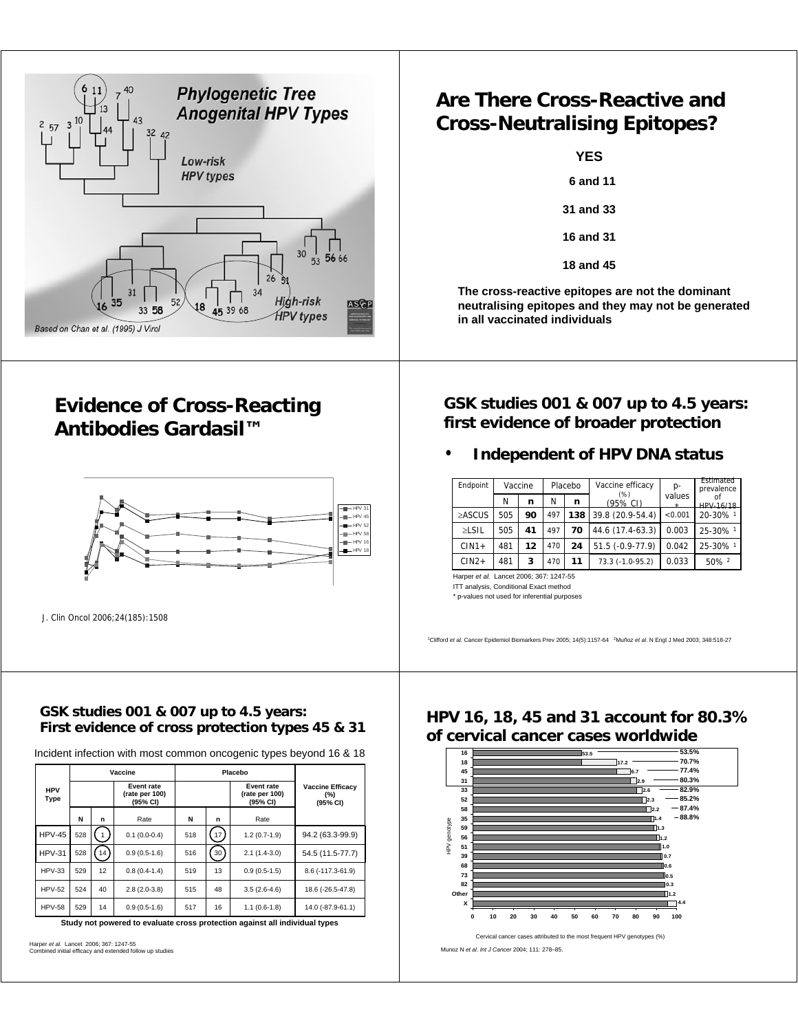

### **Evidence of Cross-Reacting Antibodies Gardasil™**



J. Clin Oncol 2006;24(185):1508

### **GSK studies 001 & 007 up to 4.5 years: First evidence of cross protection types 45 & 31**

Incident infection with most common oncogenic types beyond 16 & 18

|                    | Vaccine |    |                                          | Placebo |    |                                          |                                            |
|--------------------|---------|----|------------------------------------------|---------|----|------------------------------------------|--------------------------------------------|
| <b>HPV</b><br>Type |         |    | Event rate<br>(rate per 100)<br>(95% CI) |         |    | Event rate<br>(rate per 100)<br>(95% CI) | <b>Vaccine Efficacv</b><br>(%)<br>(95% CI) |
|                    | N       | n  | Rate                                     | N       | n  | Rate                                     |                                            |
| $HPV-45$           | 528     |    | $0.1(0.0-0.4)$                           | 518     | 17 | $1.2(0.7-1.9)$                           | 94.2 (63.3-99.9)                           |
| $HPV-31$           | 528     | 14 | $0.9(0.5-1.6)$                           | 516     | 30 | $2.1(1.4-3.0)$                           | 54.5 (11.5-77.7)                           |
| $HPV-33$           | 529     | 12 | $0.8(0.4-1.4)$                           | 519     | 13 | $0.9(0.5-1.5)$                           | 8.6 (-117.3-61.9)                          |
| <b>HPV-52</b>      | 524     | 40 | $2.8(2.0-3.8)$                           | 515     | 48 | $3.5(2.6-4.6)$                           | 18.6 (-26.5-47.8)                          |
| <b>HPV-58</b>      | 529     | 14 | $0.9(0.5-1.6)$                           | 517     | 16 | $1.1(0.6-1.8)$                           | 14.0 (-87.9-61.1)                          |

**Study not powered to evaluate cross protection against all individual types**

Harper *et al.* Lancet 2006; 367: 1247-55 Combined initial efficacy and extended follow up studies

### **Are There Cross-Reactive and Cross-Neutralising Epitopes?**

| <b>YES</b> |                  |  |  |  |  |
|------------|------------------|--|--|--|--|
|            | 6 and 11         |  |  |  |  |
|            | <b>31 and 33</b> |  |  |  |  |
|            | 16 and 31        |  |  |  |  |
|            | <b>18 and 45</b> |  |  |  |  |

**The cross-reactive epitopes are not the dominant neutralising epitopes and they may not be generated in all vaccinated individuals**

### **GSK studies 001 & 007 up to 4.5 years: first evidence of broader protection**

### • **Independent of HPV DNA status**

| Endpoint     |     | Vaccine | Placebo |     | Vaccine efficacy  | p-                | Estimated<br>prevalence |
|--------------|-----|---------|---------|-----|-------------------|-------------------|-------------------------|
|              | N   | n       | N       | n   | (% )<br>(95% CI)  | values<br>$\star$ | HPV-16/18               |
| $\geq$ ASCUS | 505 | 90      | 497     | 138 | 39.8 (20.9-54.4)  | < 0.001           | 20-30% 1                |
| $\geq$ LSIL  | 505 | 41      | 497     | 70  | 44.6 (17.4-63.3)  | 0.003             | 25-30% 1                |
| $CIN1+$      | 481 | 12      | 470     | 24  | $51.5(-0.9-77.9)$ | 0.042             | 25-30% 1                |
| $CIN2+$      | 481 | 3       | 470     | 11  | 73.3 (-1.0-95.2)  | 0.033             | 50% 2                   |

Harper *et al.* Lancet 2006; 367: 1247-55

ITT analysis, Conditional Exact method \* p-values not used for inferential purposes

1Clifford *et al.* Cancer Epidemiol Biomarkers Prev 2005; 14(5):1157-64 2Muñoz *et al*. N Engl J Med 2003; 348:518-27

### **HPV 16, 18, 45 and 31 account for 80.3% of cervical cancer cases worldwide**



Munoz N *et al*. *Int J Cancer* 2004; 111: 278–85.